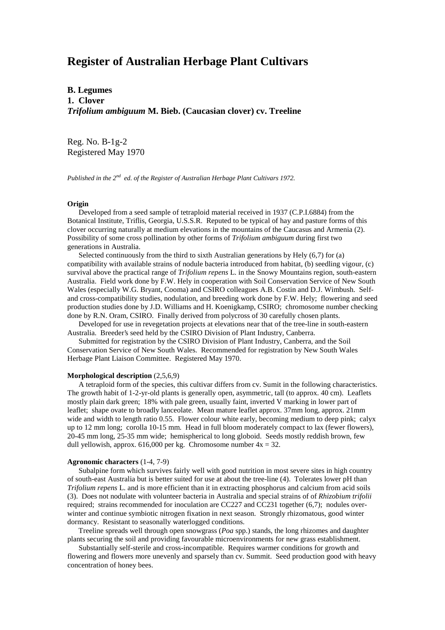# **Register of Australian Herbage Plant Cultivars**

**B. Legumes 1. Clover** *Trifolium ambiguum* **M. Bieb. (Caucasian clover) cv. Treeline**

Reg. No. B-1g-2 Registered May 1970

*Published in the 2nd ed. of the Register of Australian Herbage Plant Cultivars 1972.*

## **Origin**

 Developed from a seed sample of tetraploid material received in 1937 (C.P.I.6884) from the Botanical Institute, Triflis, Georgia, U.S.S.R. Reputed to be typical of hay and pasture forms of this clover occurring naturally at medium elevations in the mountains of the Caucasus and Armenia (2). Possibility of some cross pollination by other forms of *Trifolium ambiguum* during first two generations in Australia.

 Selected continuously from the third to sixth Australian generations by Hely (6,7) for (a) compatibility with available strains of nodule bacteria introduced from habitat, (b) seedling vigour, (c) survival above the practical range of *Trifolium repens* L. in the Snowy Mountains region, south-eastern Australia. Field work done by F.W. Hely in cooperation with Soil Conservation Service of New South Wales (especially W.G. Bryant, Cooma) and CSIRO colleagues A.B. Costin and D.J. Wimbush. Selfand cross-compatibility studies, nodulation, and breeding work done by F.W. Hely; flowering and seed production studies done by J.D. Williams and H. Koenigkamp, CSIRO; chromosome number checking done by R.N. Oram, CSIRO. Finally derived from polycross of 30 carefully chosen plants.

 Developed for use in revegetation projects at elevations near that of the tree-line in south-eastern Australia. Breeder's seed held by the CSIRO Division of Plant Industry, Canberra.

 Submitted for registration by the CSIRO Division of Plant Industry, Canberra, and the Soil Conservation Service of New South Wales. Recommended for registration by New South Wales Herbage Plant Liaison Committee. Registered May 1970.

#### **Morphological description** (2,5,6,9)

 A tetraploid form of the species, this cultivar differs from cv. Sumit in the following characteristics. The growth habit of 1-2-yr-old plants is generally open, asymmetric, tall (to approx. 40 cm). Leaflets mostly plain dark green; 18% with pale green, usually faint, inverted V marking in lower part of leaflet; shape ovate to broadly lanceolate. Mean mature leaflet approx. 37mm long, approx. 21mm wide and width to length ratio 0.55. Flower colour white early, becoming medium to deep pink; calyx up to 12 mm long; corolla 10-15 mm. Head in full bloom moderately compact to lax (fewer flowers), 20-45 mm long, 25-35 mm wide; hemispherical to long globoid. Seeds mostly reddish brown, few dull yellowish, approx. 616,000 per kg. Chromosome number  $4x = 32$ .

### **Agronomic characters** (1-4, 7-9)

 Subalpine form which survives fairly well with good nutrition in most severe sites in high country of south-east Australia but is better suited for use at about the tree-line (4). Tolerates lower pH than *Trifolium repens* L. and is more efficient than it in extracting phosphorus and calcium from acid soils (3). Does not nodulate with volunteer bacteria in Australia and special strains of of *Rhizobium trifolii* required; strains recommended for inoculation are CC227 and CC231 together (6,7); nodules overwinter and continue symbiotic nitrogen fixation in next season. Strongly rhizomatous, good winter dormancy. Resistant to seasonally waterlogged conditions.

 Treeline spreads well through open snowgrass (*Poa* spp.) stands, the long rhizomes and daughter plants securing the soil and providing favourable microenvironments for new grass establishment.

 Substantially self-sterile and cross-incompatible. Requires warmer conditions for growth and flowering and flowers more unevenly and sparsely than cv. Summit. Seed production good with heavy concentration of honey bees.